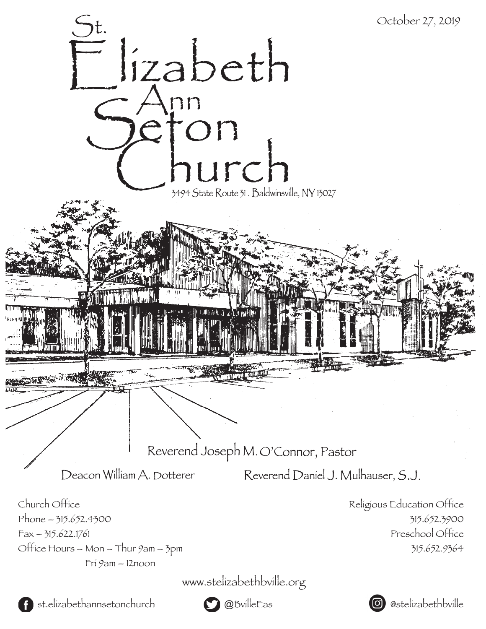



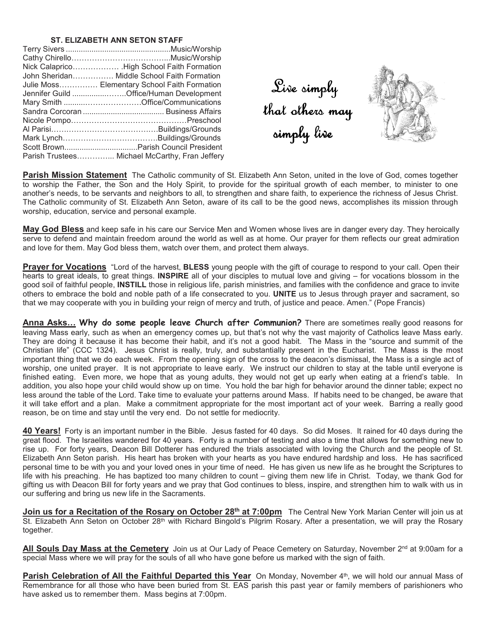## **ST. ELIZABETH ANN SETON STAFF**

| John Sheridan Middle School Faith Formation    |
|------------------------------------------------|
| Julie Moss Elementary School Faith Formation   |
| Jennifer Guild Office/Human Development        |
|                                                |
|                                                |
|                                                |
|                                                |
|                                                |
|                                                |
| Parish Trustees Michael McCarthy, Fran Jeffery |

Live simply t h a t ot hers may simply live



**Parish Mission Statement** The Catholic community of St. Elizabeth Ann Seton, united in the love of God, comes together to worship the Father, the Son and the Holy Spirit, to provide for the spiritual growth of each member, to minister to one another's needs, to be servants and neighbors to all, to strengthen and share faith, to experience the richness of Jesus Christ. The Catholic community of St. Elizabeth Ann Seton, aware of its call to be the good news, accomplishes its mission through worship, education, service and personal example.

**May God Bless** and keep safe in his care our Service Men and Women whose lives are in danger every day. They heroically serve to defend and maintain freedom around the world as well as at home. Our prayer for them reflects our great admiration and love for them. May God bless them, watch over them, and protect them always.

**Prayer for Vocations** "Lord of the harvest, **BLESS** young people with the gift of courage to respond to your call. Open their hearts to great ideals, to great things. **INSPIRE** all of your disciples to mutual love and giving – for vocations blossom in the good soil of faithful people, **INSTILL** those in religious life, parish ministries, and families with the confidence and grace to invite others to embrace the bold and noble path of a life consecrated to you. **UNITE** us to Jesus through prayer and sacrament, so that we may cooperate with you in building your reign of mercy and truth, of justice and peace. Amen." (Pope Francis)

Anna Asks... Why do some people leave Church after Communion? There are sometimes really good reasons for leaving Mass early, such as when an emergency comes up, but that's not why the vast majority of Catholics leave Mass early. They are doing it because it has become their habit, and it's not a good habit. The Mass in the "source and summit of the Christian life" (CCC 1324). Jesus Christ is really, truly, and substantially present in the Eucharist. The Mass is the most important thing that we do each week. From the opening sign of the cross to the deacon's dismissal, the Mass is a single act of worship, one united prayer. It is not appropriate to leave early. We instruct our children to stay at the table until everyone is finished eating. Even more, we hope that as young adults, they would not get up early when eating at a friend's table. In addition, you also hope your child would show up on time. You hold the bar high for behavior around the dinner table; expect no less around the table of the Lord. Take time to evaluate your patterns around Mass. If habits need to be changed, be aware that it will take effort and a plan. Make a commitment appropriate for the most important act of your week. Barring a really good reason, be on time and stay until the very end. Do not settle for mediocrity.

**40 Years!** Forty is an important number in the Bible. Jesus fasted for 40 days. So did Moses. It rained for 40 days during the great flood. The Israelites wandered for 40 years. Forty is a number of testing and also a time that allows for something new to rise up. For forty years, Deacon Bill Dotterer has endured the trials associated with loving the Church and the people of St. Elizabeth Ann Seton parish. His heart has broken with your hearts as you have endured hardship and loss. He has sacrificed personal time to be with you and your loved ones in your time of need. He has given us new life as he brought the Scriptures to life with his preaching. He has baptized too many children to count – giving them new life in Christ. Today, we thank God for gifting us with Deacon Bill for forty years and we pray that God continues to bless, inspire, and strengthen him to walk with us in our suffering and bring us new life in the Sacraments.

**Join us for a Recitation of the Rosary on October 28th at 7:00pm** The Central New York Marian Center will join us at St. Elizabeth Ann Seton on October 28<sup>th</sup> with Richard Bingold's Pilgrim Rosary. After a presentation, we will pray the Rosary together.

**All Souls Day Mass at the Cemetery** Join us at Our Lady of Peace Cemetery on Saturday, November 2nd at 9:00am for a special Mass where we will pray for the souls of all who have gone before us marked with the sign of faith.

Parish Celebration of All the Faithful Departed this Year On Monday, November 4<sup>th</sup>, we will hold our annual Mass of Remembrance for all those who have been buried from St. EAS parish this past year or family members of parishioners who have asked us to remember them. Mass begins at 7:00pm.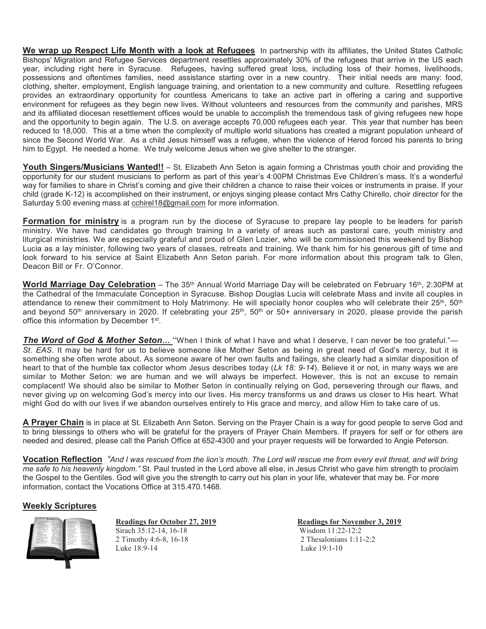**We wrap up Respect Life Month with a look at Refugees** In partnership with its affiliates, the United States Catholic Bishops' Migration and Refugee Services department resettles approximately 30% of the refugees that arrive in the US each year, including right here in Syracuse. Refugees, having suffered great loss, including loss of their homes, livelihoods, possessions and oftentimes families, need assistance starting over in a new country. Their initial needs are many: food, clothing, shelter, employment, English language training, and orientation to a new community and culture. Resettling refugees provides an extraordinary opportunity for countless Americans to take an active part in offering a caring and supportive environment for refugees as they begin new lives. Without volunteers and resources from the community and parishes, MRS and its affiliated diocesan resettlement offices would be unable to accomplish the tremendous task of giving refugees new hope and the opportunity to begin again. The U.S. on average accepts 70,000 refugees each year. This year that number has been reduced to 18,000. This at a time when the complexity of multiple world situations has created a migrant population unheard of since the Second World War. As a child Jesus himself was a refugee, when the violence of Herod forced his parents to bring him to Egypt. He needed a home. We truly welcome Jesus when we give shelter to the stranger.

**Youth Singers/Musicians Wanted!!** – St. Elizabeth Ann Seton is again forming a Christmas youth choir and providing the opportunity for our student musicians to perform as part of this year's 4:00PM Christmas Eve Children's mass. It's a wonderful way for families to share in Christ's coming and give their children a chance to raise their voices or instruments in praise. If your child (grade K-12) is accomplished on their instrument, or enjoys singing please contact Mrs Cathy Chirello, choir director for the Saturday 5:00 evening mass at cchirel18@gmail.com for more information.

**Formation for ministry** is a program run by the diocese of Syracuse to prepare lay people to be leaders for parish ministry. We have had candidates go through training In a variety of areas such as pastoral care, youth ministry and liturgical ministries. We are especially grateful and proud of Glen Lozier, who will be commissioned this weekend by Bishop Lucia as a lay minister, following two years of classes, retreats and training. We thank him for his generous gift of time and look forward to his service at Saint Elizabeth Ann Seton parish. For more information about this program talk to Glen, Deacon Bill or Fr. O'Connor.

**World Marriage Day Celebration** – The 35th Annual World Marriage Day will be celebrated on February 16th, 2:30PM at the Cathedral of the Immaculate Conception in Syracuse. Bishop Douglas Lucia will celebrate Mass and invite all couples in attendance to renew their commitment to Holy Matrimony. He will specially honor couples who will celebrate their 25<sup>th</sup>, 50<sup>th</sup> and beyond 50<sup>th</sup> anniversary in 2020. If celebrating your  $25<sup>th</sup>$ , 50<sup>th</sup> or 50+ anniversary in 2020, please provide the parish office this information by December 1<sup>st</sup>.

*The Word of God & Mother Seton...* "When I think of what I have and what I deserve, I can never be too grateful."-*St. EAS*. It may be hard for us to believe someone like Mother Seton as being in great need of God's mercy, but it is something she often wrote about. As someone aware of her own faults and failings, she clearly had a similar disposition of heart to that of the humble tax collector whom Jesus describes today (*Lk 18: 9-14*). Believe it or not, in many ways we are similar to Mother Seton: we are human and we will always be imperfect. However, this is not an excuse to remain complacent! We should also be similar to Mother Seton in continually relying on God, persevering through our flaws, and never giving up on welcoming God's mercy into our lives. His mercy transforms us and draws us closer to His heart. What might God do with our lives if we abandon ourselves entirely to His grace and mercy, and allow Him to take care of us.

**A Prayer Chain** is in place at St. Elizabeth Ann Seton. Serving on the Prayer Chain is a way for good people to serve God and to bring blessings to others who will be grateful for the prayers of Prayer Chain Members. If prayers for self or for others are needed and desired, please call the Parish Office at 652-4300 and your prayer requests will be forwarded to Angie Peterson.

**Vocation Reflection** *"And I was rescued from the lion's mouth. The Lord will rescue me from every evil threat, and will bring me safe to his heavenly kingdom."* St. Paul trusted in the Lord above all else, in Jesus Christ who gave him strength to proclaim the Gospel to the Gentiles. God will give you the strength to carry out his plan in your life, whatever that may be. For more information, contact the Vocations Office at 315.470.1468.

## **Weekly Scriptures**



Sirach 35:12-14, 16-18 2 Timothy 4:6-8, 16-18 2 Thesalonians 1:11-2:2 Luke 18:9-14 Luke 19:1-10

**Readings for October 27, 2019**<br>
Sirach 35:12-14 16-18<br>
Wisdom 11:22-12:2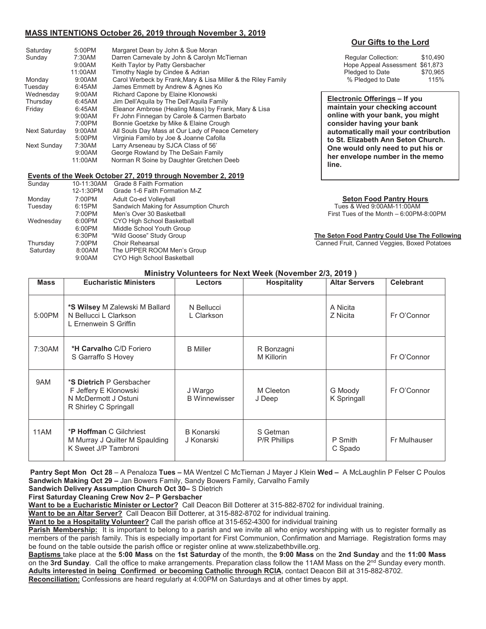## **MASS INTENTIONS October 26, 2019 through November 3, 2019**

| Saturday<br>Sunday                         | 5:00PM<br>7:30AM<br>9:00AM                                                                                                                                                                                                                                                         | Margaret Dean by John & Sue Moran<br>Darren Carnevale by John & Carolyn McTiernan<br>Keith Taylor by Patty Gersbacher                  | \$10.490<br><b>Regular Collection:</b><br>Hope Appeal Assessment \$61,873                                                        |  |
|--------------------------------------------|------------------------------------------------------------------------------------------------------------------------------------------------------------------------------------------------------------------------------------------------------------------------------------|----------------------------------------------------------------------------------------------------------------------------------------|----------------------------------------------------------------------------------------------------------------------------------|--|
| Monday<br>Tuesdav                          | 11:00AM<br>9:00AM<br>6:45AM                                                                                                                                                                                                                                                        | Timothy Nagle by Cindee & Adrian<br>Carol Werbeck by Frank, Mary & Lisa Miller & the Riley Family<br>James Emmett by Andrew & Agnes Ko | Pledged to Date<br>\$70,965<br>% Pledged to Date<br>115%                                                                         |  |
| Wednesday<br>Thursday<br>Friday            | 9:00AM<br>Richard Capone by Elaine Klonowski<br>6:45AM<br>Jim Dell'Aguila by The Dell'Aguila Family<br>Eleanor Ambrose (Healing Mass) by Frank, Mary & Lisa<br>6:45AM<br>Fr John Finnegan by Carole & Carmen Barbato<br>9:00AM<br>Bonnie Goetzke by Mike & Elaine Crough<br>7:00PM |                                                                                                                                        | Electronic Offerings – If you<br>maintain your checking account<br>online with your bank, you might<br>consider having your bank |  |
| Next Saturday                              | 9:00AM<br>5:00PM                                                                                                                                                                                                                                                                   | All Souls Day Mass at Our Lady of Peace Cemetery<br>Virginia Familo by Joe & Joanne Cafolla                                            | automatically mail your contributio<br>to St. Elizabeth Ann Seton Church.                                                        |  |
| 7:30AM<br>Next Sunday<br>9:00AM<br>11:00AM |                                                                                                                                                                                                                                                                                    | Larry Arseneau by SJCA Class of 56'<br>George Rowland by The DeSain Family<br>Norman R Soine by Daughter Gretchen Deeb                 | One would only need to put his or<br>her envelope number in the memo                                                             |  |

#### **Events of the Week October 27, 2019 through November 2, 2019**

| Sunday    | 10-11:30AM | Grade 8 Faith Formation               |  |  |
|-----------|------------|---------------------------------------|--|--|
|           | 12-1:30PM  | Grade 1-6 Faith Formation M-Z         |  |  |
| Monday    | 7:00PM     | Adult Co-ed Volleyball                |  |  |
| Tuesday   | 6:15PM     | Sandwich Making for Assumption Church |  |  |
|           | 7:00PM     | Men's Over 30 Basketball              |  |  |
| Wednesday | 6:00PM     | CYO High School Basketball            |  |  |
|           | 6:00PM     | Middle School Youth Group             |  |  |
|           | 6:30PM     | "Wild Goose" Study Group              |  |  |
| Thursday  | 7:00PM     | <b>Choir Rehearsal</b>                |  |  |
| Saturday  | 8:00AM     | The UPPER ROOM Men's Group            |  |  |
|           | 9:00AM     | CYO High School Basketball            |  |  |

## **Our Gifts to the Lord**

| Regular Collection:             | \$10.490 |  |
|---------------------------------|----------|--|
| Hope Appeal Assessment \$61,873 |          |  |
| Pledged to Date                 | \$70.965 |  |
| % Pledged to Date               | 115%     |  |

**Electronic Offerings – If you maintain your checking account online with your bank, you might consider having your bank automatically mail your contribution to St. Elizabeth Ann Seton Church. One would only need to put his or her envelope number in the memo line.** 

### **Seton Food Pantry Hours**

Tues & Wed 9:00AM-11:00AM First Tues of the Month – 6:00PM-8:00PM

**The Seton Food Pantry Could Use The Following** 

Canned Fruit, Canned Veggies, Boxed Potatoes

### **Ministry Volunteers for Next Week (November 2/3, 2019 )**

| <b>Mass</b> | <b>Eucharistic Ministers</b>                                                                       | <b>Lectors</b>                  | <b>Hospitality</b>              | <b>Altar Servers</b>   | <b>Celebrant</b> |
|-------------|----------------------------------------------------------------------------------------------------|---------------------------------|---------------------------------|------------------------|------------------|
| 5:00PM      | *S Wilsey M Zalewski M Ballard<br>N Bellucci L Clarkson<br>L Ernenwein S Griffin                   | N Bellucci<br>L Clarkson        |                                 | A Nicita<br>Z Nicita   | Fr O'Connor      |
| 7:30AM      | <b>*H Carvalho</b> C/D Foriero<br>S Garraffo S Hovey                                               | <b>B</b> Miller                 | R Bonzagni<br>M Killorin        |                        | Fr O'Connor      |
| 9AM         | *S Dietrich P Gersbacher<br>F Jeffery E Klonowski<br>N McDermott J Ostuni<br>R Shirley C Springall | J Wargo<br><b>B</b> Winnewisser | M Cleeton<br>J Deep             | G Moody<br>K Springall | Fr O'Connor      |
| 11AM        | <b>*P Hoffman C Gilchriest</b><br>M Murray J Quilter M Spaulding<br>K Sweet J/P Tambroni           | <b>B</b> Konarski<br>J Konarski | S Getman<br><b>P/R Phillips</b> | P Smith<br>C Spado     | Fr Mulhauser     |

 **Pantry Sept Mon Oct 28** – A Penaloza **Tues –** MA Wentzel C McTiernan J Mayer J Klein **Wed –** A McLaughlin P Felser C Poulos **Sandwich Making Oct 29 –** Jan Bowers Family, Sandy Bowers Family, Carvalho Family

**Sandwich Delivery Assumption Church Oct 30–** S Dietrich

**First Saturday Cleaning Crew Nov 2– P Gersbacher**

**Want to be a Eucharistic Minister or Lector?** Call Deacon Bill Dotterer at 315-882-8702 for individual training.

**Want to be an Altar Server?** Call Deacon Bill Dotterer, at 315-882-8702 for individual training.

**Want to be a Hospitality Volunteer?** Call the parish office at 315-652-4300 for individual training

**Parish Membership:** It is important to belong to a parish and we invite all who enjoy worshipping with us to register formally as members of the parish family. This is especially important for First Communion, Confirmation and Marriage. Registration forms may be found on the table outside the parish office or register online at www.stelizabethbville.org.

**Baptisms** take place at the **5:00 Mass** on the **1st Saturday** of the month, the **9:00 Mass** on the **2nd Sunday** and the **11:00 Mass** on the 3rd Sunday. Call the office to make arrangements. Preparation class follow the 11AM Mass on the 2<sup>nd</sup> Sunday every month. **Adults interested in being Confirmed or becoming Catholic through RCIA**, contact Deacon Bill at 315-882-8702.

**Reconciliation:** Confessions are heard regularly at 4:00PM on Saturdays and at other times by appt.